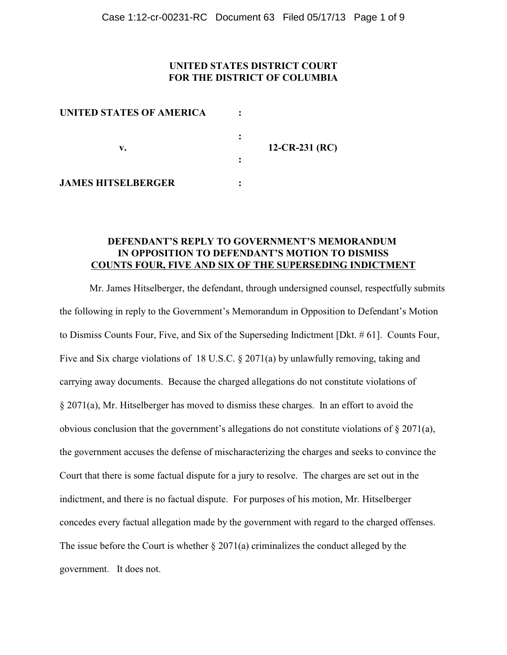# **UNITED STATES DISTRICT COURT FOR THE DISTRICT OF COLUMBIA**

| UNITED STATES OF AMERICA<br>v. |                |
|--------------------------------|----------------|
|                                | 12-CR-231 (RC) |
|                                |                |
| <b>JAMES HITSELBERGER</b>      |                |

### **DEFENDANT'S REPLY TO GOVERNMENT'S MEMORANDUM IN OPPOSITION TO DEFENDANT'S MOTION TO DISMISS COUNTS FOUR, FIVE AND SIX OF THE SUPERSEDING INDICTMENT**

Mr. James Hitselberger, the defendant, through undersigned counsel, respectfully submits the following in reply to the Government's Memorandum in Opposition to Defendant's Motion to Dismiss Counts Four, Five, and Six of the Superseding Indictment [Dkt. # 61]. Counts Four, Five and Six charge violations of 18 U.S.C. § 2071(a) by unlawfully removing, taking and carrying away documents. Because the charged allegations do not constitute violations of § 2071(a), Mr. Hitselberger has moved to dismiss these charges. In an effort to avoid the obvious conclusion that the government's allegations do not constitute violations of § 2071(a), the government accuses the defense of mischaracterizing the charges and seeks to convince the Court that there is some factual dispute for a jury to resolve. The charges are set out in the indictment, and there is no factual dispute. For purposes of his motion, Mr. Hitselberger concedes every factual allegation made by the government with regard to the charged offenses. The issue before the Court is whether § 2071(a) criminalizes the conduct alleged by the government. It does not.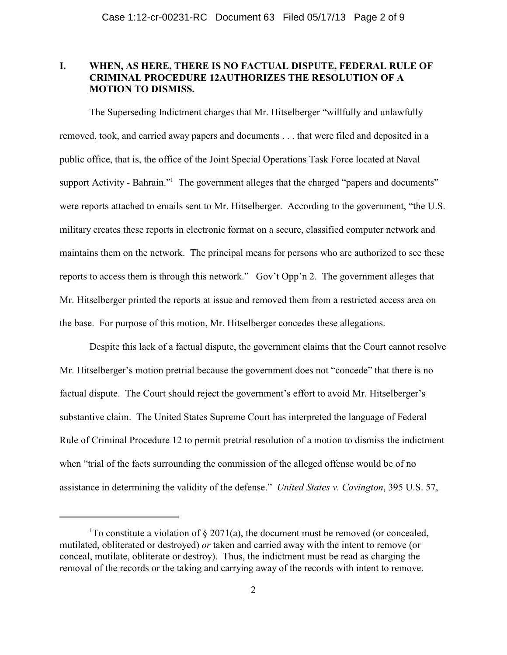# **I. WHEN, AS HERE, THERE IS NO FACTUAL DISPUTE, FEDERAL RULE OF CRIMINAL PROCEDURE 12AUTHORIZES THE RESOLUTION OF A MOTION TO DISMISS.**

The Superseding Indictment charges that Mr. Hitselberger "willfully and unlawfully removed, took, and carried away papers and documents . . . that were filed and deposited in a public office, that is, the office of the Joint Special Operations Task Force located at Naval support Activity - Bahrain."<sup>1</sup> The government alleges that the charged "papers and documents" were reports attached to emails sent to Mr. Hitselberger. According to the government, "the U.S. military creates these reports in electronic format on a secure, classified computer network and maintains them on the network. The principal means for persons who are authorized to see these reports to access them is through this network." Gov't Opp'n 2. The government alleges that Mr. Hitselberger printed the reports at issue and removed them from a restricted access area on the base. For purpose of this motion, Mr. Hitselberger concedes these allegations.

Despite this lack of a factual dispute, the government claims that the Court cannot resolve Mr. Hitselberger's motion pretrial because the government does not "concede" that there is no factual dispute. The Court should reject the government's effort to avoid Mr. Hitselberger's substantive claim. The United States Supreme Court has interpreted the language of Federal Rule of Criminal Procedure 12 to permit pretrial resolution of a motion to dismiss the indictment when "trial of the facts surrounding the commission of the alleged offense would be of no assistance in determining the validity of the defense." *United States v. Covington*, 395 U.S. 57,

<sup>&</sup>lt;sup>1</sup>To constitute a violation of  $\S 2071(a)$ , the document must be removed (or concealed, mutilated, obliterated or destroyed) *or* taken and carried away with the intent to remove (or conceal, mutilate, obliterate or destroy). Thus, the indictment must be read as charging the removal of the records or the taking and carrying away of the records with intent to remove.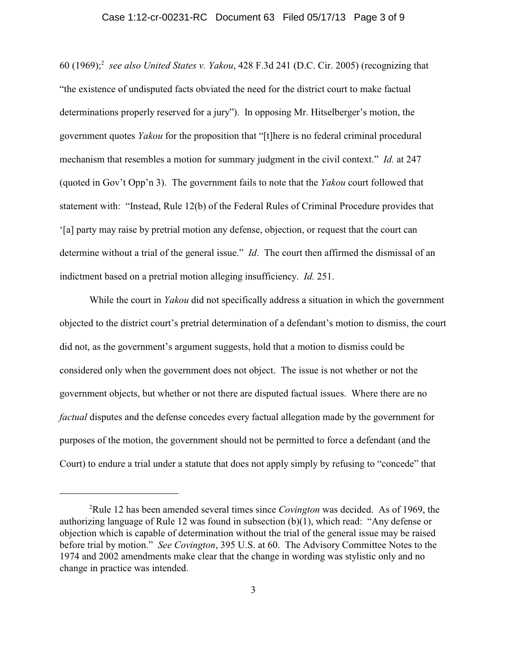#### Case 1:12-cr-00231-RC Document 63 Filed 05/17/13 Page 3 of 9

60 (1969); *see also United States v. Yakou*, 428 F.3d 241 (D.C. Cir. 2005) (recognizing that <sup>2</sup> "the existence of undisputed facts obviated the need for the district court to make factual determinations properly reserved for a jury"). In opposing Mr. Hitselberger's motion, the government quotes *Yakou* for the proposition that "[t]here is no federal criminal procedural mechanism that resembles a motion for summary judgment in the civil context." *Id.* at 247 (quoted in Gov't Opp'n 3). The government fails to note that the *Yakou* court followed that statement with: "Instead, Rule 12(b) of the Federal Rules of Criminal Procedure provides that '[a] party may raise by pretrial motion any defense, objection, or request that the court can determine without a trial of the general issue." *Id*. The court then affirmed the dismissal of an indictment based on a pretrial motion alleging insufficiency. *Id.* 251.

While the court in *Yakou* did not specifically address a situation in which the government objected to the district court's pretrial determination of a defendant's motion to dismiss, the court did not, as the government's argument suggests, hold that a motion to dismiss could be considered only when the government does not object. The issue is not whether or not the government objects, but whether or not there are disputed factual issues. Where there are no *factual* disputes and the defense concedes every factual allegation made by the government for purposes of the motion, the government should not be permitted to force a defendant (and the Court) to endure a trial under a statute that does not apply simply by refusing to "concede" that

<sup>&</sup>lt;sup>2</sup>Rule 12 has been amended several times since *Covington* was decided. As of 1969, the authorizing language of Rule 12 was found in subsection (b)(1), which read: "Any defense or objection which is capable of determination without the trial of the general issue may be raised before trial by motion." *See Covington*, 395 U.S. at 60. The Advisory Committee Notes to the 1974 and 2002 amendments make clear that the change in wording was stylistic only and no change in practice was intended.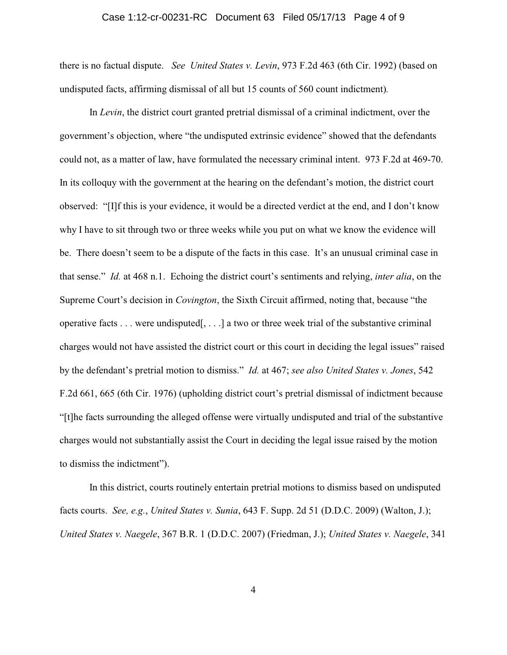#### Case 1:12-cr-00231-RC Document 63 Filed 05/17/13 Page 4 of 9

there is no factual dispute. *See United States v. Levin*, 973 F.2d 463 (6th Cir. 1992) (based on undisputed facts, affirming dismissal of all but 15 counts of 560 count indictment)*.*

In *Levin*, the district court granted pretrial dismissal of a criminal indictment, over the government's objection, where "the undisputed extrinsic evidence" showed that the defendants could not, as a matter of law, have formulated the necessary criminal intent. 973 F.2d at 469-70. In its colloquy with the government at the hearing on the defendant's motion, the district court observed: "[I]f this is your evidence, it would be a directed verdict at the end, and I don't know why I have to sit through two or three weeks while you put on what we know the evidence will be. There doesn't seem to be a dispute of the facts in this case. It's an unusual criminal case in that sense." *Id.* at 468 n.1. Echoing the district court's sentiments and relying, *inter alia*, on the Supreme Court's decision in *Covington*, the Sixth Circuit affirmed, noting that, because "the operative facts . . . were undisputed[, . . .] a two or three week trial of the substantive criminal charges would not have assisted the district court or this court in deciding the legal issues" raised by the defendant's pretrial motion to dismiss." *Id.* at 467; *see also United States v. Jones*, 542 F.2d 661, 665 (6th Cir. 1976) (upholding district court's pretrial dismissal of indictment because "[t]he facts surrounding the alleged offense were virtually undisputed and trial of the substantive charges would not substantially assist the Court in deciding the legal issue raised by the motion to dismiss the indictment").

In this district, courts routinely entertain pretrial motions to dismiss based on undisputed facts courts. *See, e.g.*, *United States v. Sunia*, 643 F. Supp. 2d 51 (D.D.C. 2009) (Walton, J.); *United States v. Naegele*, 367 B.R. 1 (D.D.C. 2007) (Friedman, J.); *United States v. Naegele*, 341

4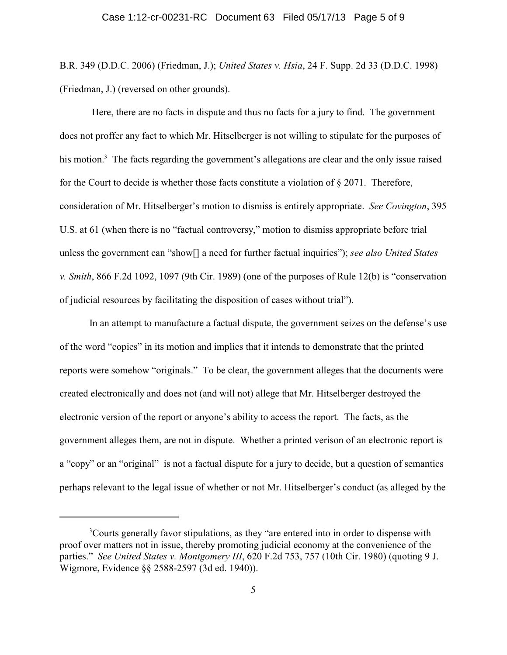B.R. 349 (D.D.C. 2006) (Friedman, J.); *United States v. Hsia*, 24 F. Supp. 2d 33 (D.D.C. 1998) (Friedman, J.) (reversed on other grounds).

 Here, there are no facts in dispute and thus no facts for a jury to find. The government does not proffer any fact to which Mr. Hitselberger is not willing to stipulate for the purposes of his motion.<sup>3</sup> The facts regarding the government's allegations are clear and the only issue raised for the Court to decide is whether those facts constitute a violation of § 2071. Therefore, consideration of Mr. Hitselberger's motion to dismiss is entirely appropriate. *See Covington*, 395 U.S. at 61 (when there is no "factual controversy," motion to dismiss appropriate before trial unless the government can "show[] a need for further factual inquiries"); *see also United States v. Smith*, 866 F.2d 1092, 1097 (9th Cir. 1989) (one of the purposes of Rule 12(b) is "conservation of judicial resources by facilitating the disposition of cases without trial").

In an attempt to manufacture a factual dispute, the government seizes on the defense's use of the word "copies" in its motion and implies that it intends to demonstrate that the printed reports were somehow "originals." To be clear, the government alleges that the documents were created electronically and does not (and will not) allege that Mr. Hitselberger destroyed the electronic version of the report or anyone's ability to access the report. The facts, as the government alleges them, are not in dispute. Whether a printed verison of an electronic report is a "copy" or an "original" is not a factual dispute for a jury to decide, but a question of semantics perhaps relevant to the legal issue of whether or not Mr. Hitselberger's conduct (as alleged by the

<sup>&</sup>lt;sup>3</sup>Courts generally favor stipulations, as they "are entered into in order to dispense with proof over matters not in issue, thereby promoting judicial economy at the convenience of the parties." *See United States v. Montgomery III*, 620 F.2d 753, 757 (10th Cir. 1980) (quoting 9 J. Wigmore, Evidence §§ 2588-2597 (3d ed. 1940)).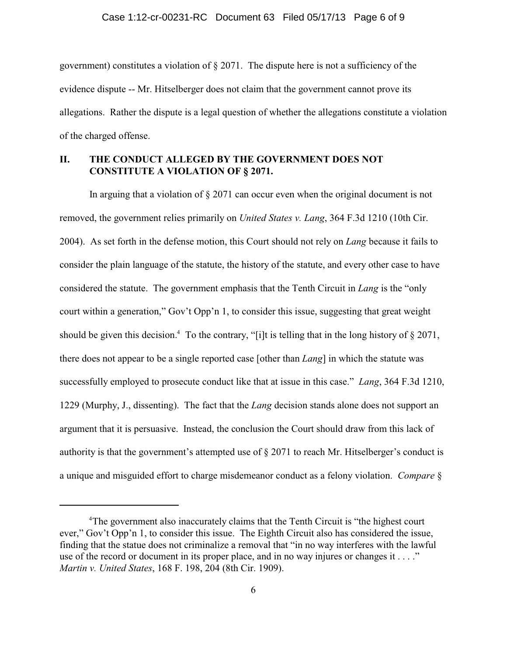government) constitutes a violation of § 2071. The dispute here is not a sufficiency of the evidence dispute -- Mr. Hitselberger does not claim that the government cannot prove its allegations. Rather the dispute is a legal question of whether the allegations constitute a violation of the charged offense.

### **II. THE CONDUCT ALLEGED BY THE GOVERNMENT DOES NOT CONSTITUTE A VIOLATION OF § 2071.**

In arguing that a violation of § 2071 can occur even when the original document is not removed, the government relies primarily on *United States v. Lang*, 364 F.3d 1210 (10th Cir. 2004). As set forth in the defense motion, this Court should not rely on *Lang* because it fails to consider the plain language of the statute, the history of the statute, and every other case to have considered the statute. The government emphasis that the Tenth Circuit in *Lang* is the "only court within a generation," Gov't Opp'n 1, to consider this issue, suggesting that great weight should be given this decision.<sup>4</sup> To the contrary, "[i]t is telling that in the long history of  $\S 2071$ , there does not appear to be a single reported case [other than *Lang*] in which the statute was successfully employed to prosecute conduct like that at issue in this case." *Lang*, 364 F.3d 1210, 1229 (Murphy, J., dissenting). The fact that the *Lang* decision stands alone does not support an argument that it is persuasive. Instead, the conclusion the Court should draw from this lack of authority is that the government's attempted use of § 2071 to reach Mr. Hitselberger's conduct is a unique and misguided effort to charge misdemeanor conduct as a felony violation. *Compare* §

The government also inaccurately claims that the Tenth Circuit is "the highest court <sup>4</sup> ever," Gov't Opp'n 1, to consider this issue. The Eighth Circuit also has considered the issue, finding that the statue does not criminalize a removal that "in no way interferes with the lawful use of the record or document in its proper place, and in no way injures or changes it . . . ." *Martin v. United States*, 168 F. 198, 204 (8th Cir. 1909).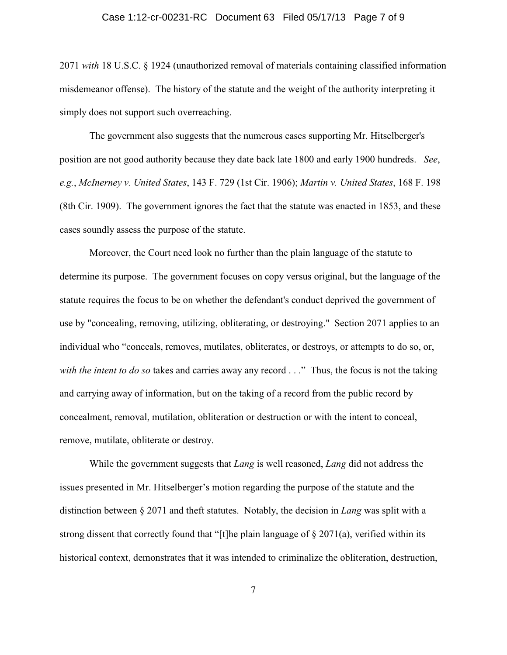#### Case 1:12-cr-00231-RC Document 63 Filed 05/17/13 Page 7 of 9

2071 *with* 18 U.S.C. § 1924 (unauthorized removal of materials containing classified information misdemeanor offense). The history of the statute and the weight of the authority interpreting it simply does not support such overreaching.

The government also suggests that the numerous cases supporting Mr. Hitselberger's position are not good authority because they date back late 1800 and early 1900 hundreds. *See*, *e.g.*, *McInerney v. United States*, 143 F. 729 (1st Cir. 1906); *Martin v. United States*, 168 F. 198 (8th Cir. 1909). The government ignores the fact that the statute was enacted in 1853, and these cases soundly assess the purpose of the statute.

Moreover, the Court need look no further than the plain language of the statute to determine its purpose. The government focuses on copy versus original, but the language of the statute requires the focus to be on whether the defendant's conduct deprived the government of use by "concealing, removing, utilizing, obliterating, or destroying." Section 2071 applies to an individual who "conceals, removes, mutilates, obliterates, or destroys, or attempts to do so, or, *with the intent to do so* takes and carries away any record . . ." Thus, the focus is not the taking and carrying away of information, but on the taking of a record from the public record by concealment, removal, mutilation, obliteration or destruction or with the intent to conceal, remove, mutilate, obliterate or destroy.

While the government suggests that *Lang* is well reasoned, *Lang* did not address the issues presented in Mr. Hitselberger's motion regarding the purpose of the statute and the distinction between § 2071 and theft statutes. Notably, the decision in *Lang* was split with a strong dissent that correctly found that "[t]he plain language of  $\S 2071(a)$ , verified within its historical context, demonstrates that it was intended to criminalize the obliteration, destruction,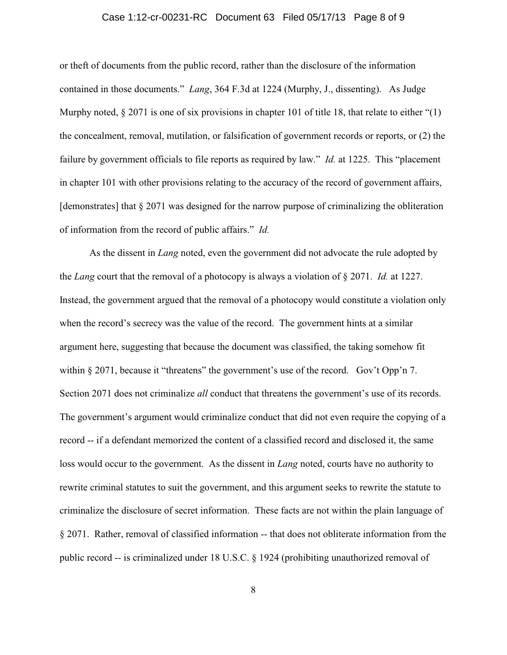#### Case 1:12-cr-00231-RC Document 63 Filed 05/17/13 Page 8 of 9

or theft of documents from the public record, rather than the disclosure of the information contained in those documents." *Lang*, 364 F.3d at 1224 (Murphy, J., dissenting). As Judge Murphy noted,  $\S 2071$  is one of six provisions in chapter 101 of title 18, that relate to either "(1) the concealment, removal, mutilation, or falsification of government records or reports, or (2) the failure by government officials to file reports as required by law." *Id.* at 1225. This "placement in chapter 101 with other provisions relating to the accuracy of the record of government affairs, [demonstrates] that § 2071 was designed for the narrow purpose of criminalizing the obliteration of information from the record of public affairs." *Id.*

As the dissent in *Lang* noted, even the government did not advocate the rule adopted by the *Lang* court that the removal of a photocopy is always a violation of § 2071. *Id.* at 1227. Instead, the government argued that the removal of a photocopy would constitute a violation only when the record's secrecy was the value of the record. The government hints at a similar argument here, suggesting that because the document was classified, the taking somehow fit within § 2071, because it "threatens" the government's use of the record. Gov't Opp'n 7. Section 2071 does not criminalize *all* conduct that threatens the government's use of its records. The government's argument would criminalize conduct that did not even require the copying of a record -- if a defendant memorized the content of a classified record and disclosed it, the same loss would occur to the government. As the dissent in *Lang* noted, courts have no authority to rewrite criminal statutes to suit the government, and this argument seeks to rewrite the statute to criminalize the disclosure of secret information. These facts are not within the plain language of § 2071. Rather, removal of classified information -- that does not obliterate information from the public record -- is criminalized under 18 U.S.C. § 1924 (prohibiting unauthorized removal of